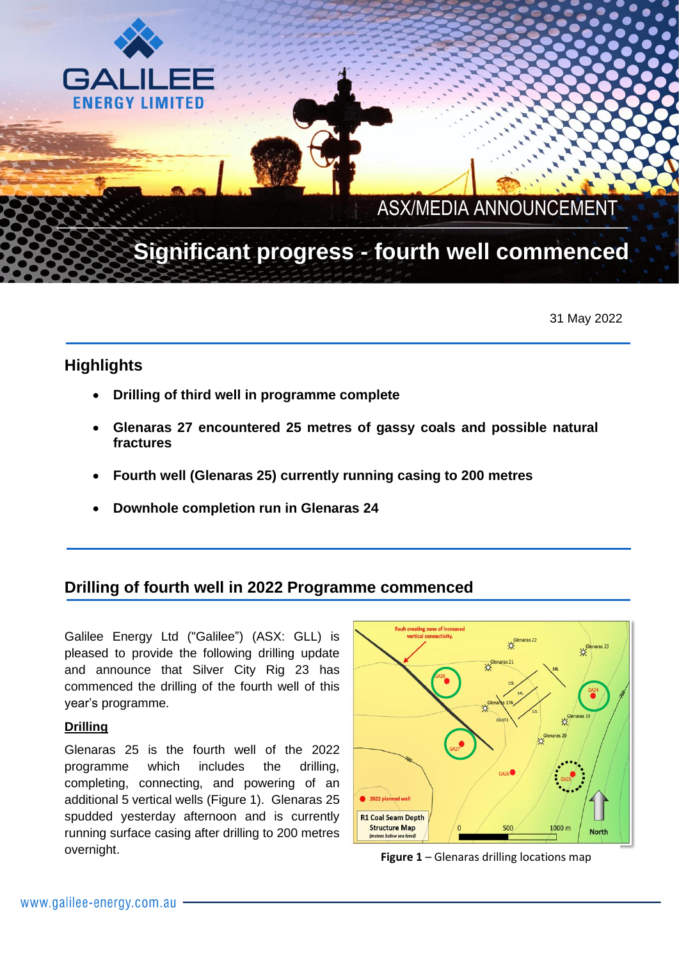

 $\mathcal{L} \neq \mathcal{L}$ 

# Significant progress - fourth well commenced

31 May 2022

# **Highlights**

GA

**FNERGY LIMITED** 

- **Drilling of third well in programme complete**
- **Glenaras 27 encountered 25 metres of gassy coals and possible natural fractures**
- **Fourth well (Glenaras 25) currently running casing to 200 metres**
- **Downhole completion run in Glenaras 24**

# **Drilling of fourth well in 2022 Programme commenced**

Galilee Energy Ltd ("Galilee") (ASX: GLL) is pleased to provide the following drilling update and announce that Silver City Rig 23 has commenced the drilling of the fourth well of this year's programme.

# **Drilling**

Glenaras 25 is the fourth well of the 2022 programme which includes the drilling, completing, connecting, and powering of an additional 5 vertical wells (Figure 1). Glenaras 25 spudded yesterday afternoon and is currently running surface casing after drilling to 200 metres overnight.



**Figure 1** – Glenaras drilling locations map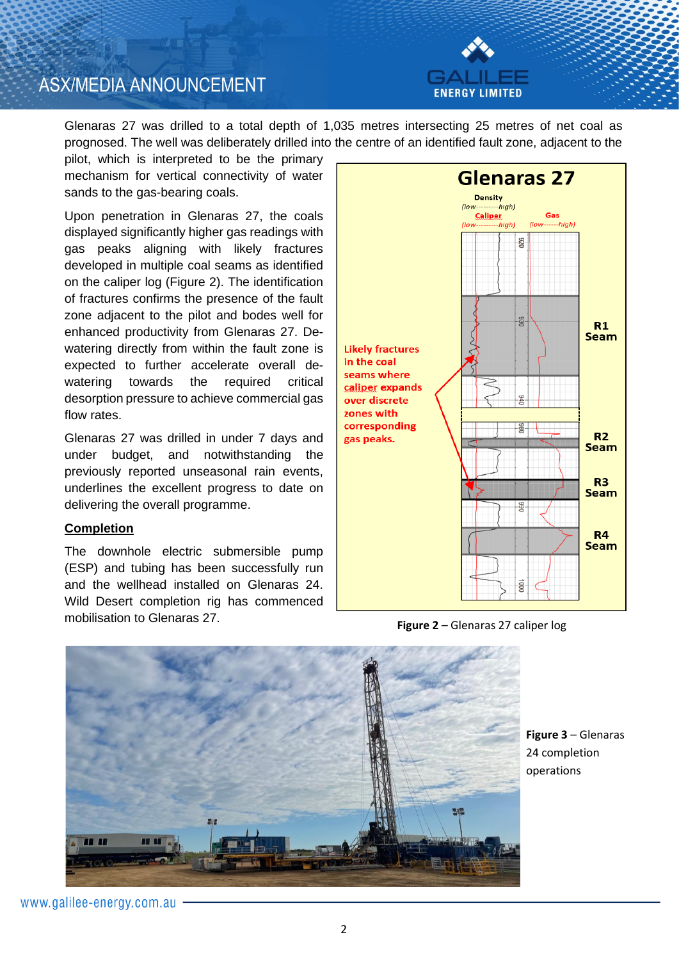



Glenaras 27 was drilled to a total depth of 1,035 metres intersecting 25 metres of net coal as prognosed. The well was deliberately drilled into the centre of an identified fault zone, adjacent to the

pilot, which is interpreted to be the primary mechanism for vertical connectivity of water sands to the gas-bearing coals.

Upon penetration in Glenaras 27, the coals displayed significantly higher gas readings with gas peaks aligning with likely fractures developed in multiple coal seams as identified on the caliper log (Figure 2). The identification of fractures confirms the presence of the fault zone adjacent to the pilot and bodes well for enhanced productivity from Glenaras 27. Dewatering directly from within the fault zone is expected to further accelerate overall dewatering towards the required critical desorption pressure to achieve commercial gas flow rates.

Glenaras 27 was drilled in under 7 days and under budget, and notwithstanding the previously reported unseasonal rain events, underlines the excellent progress to date on delivering the overall programme.

#### **Completion**

The downhole electric submersible pump (ESP) and tubing has been successfully run and the wellhead installed on Glenaras 24. Wild Desert completion rig has commenced mobilisation to Glenaras 27.



**Figure 2** – Glenaras 27 caliper log



**Figure 3** – Glenaras 24 completion operations

www.galilee-energy.com.au -